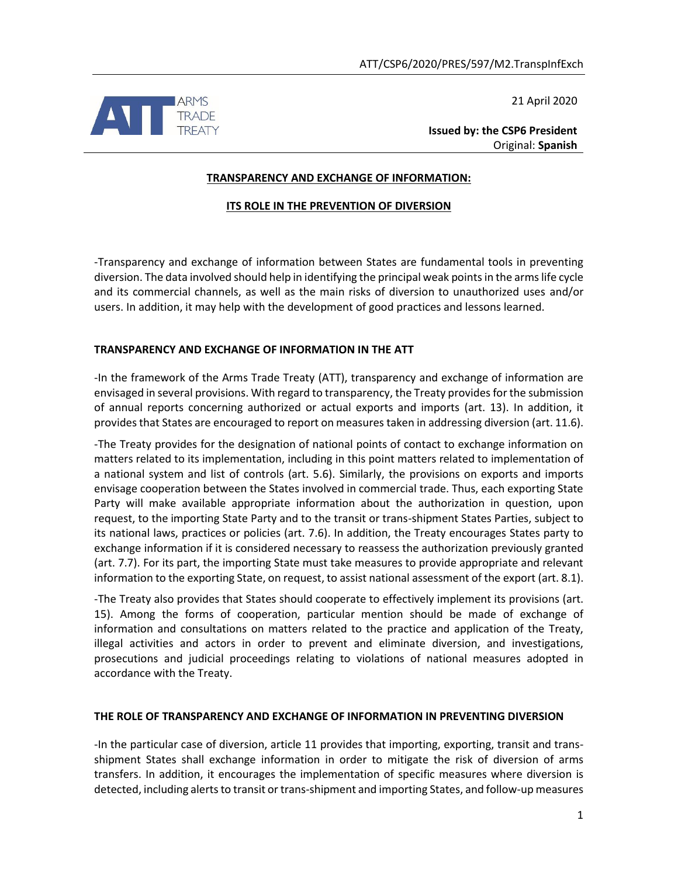21 April 2020



**Issued by: the CSP6 President** Original: **Spanish**

### **TRANSPARENCY AND EXCHANGE OF INFORMATION:**

## **ITS ROLE IN THE PREVENTION OF DIVERSION**

-Transparency and exchange of information between States are fundamental tools in preventing diversion. The data involved should help in identifying the principal weak points in the arms life cycle and its commercial channels, as well as the main risks of diversion to unauthorized uses and/or users. In addition, it may help with the development of good practices and lessons learned.

### **TRANSPARENCY AND EXCHANGE OF INFORMATION IN THE ATT**

-In the framework of the Arms Trade Treaty (ATT), transparency and exchange of information are envisaged in several provisions. With regard to transparency, the Treaty provides for the submission of annual reports concerning authorized or actual exports and imports (art. 13). In addition, it provides that States are encouraged to report on measures taken in addressing diversion (art. 11.6).

-The Treaty provides for the designation of national points of contact to exchange information on matters related to its implementation, including in this point matters related to implementation of a national system and list of controls (art. 5.6). Similarly, the provisions on exports and imports envisage cooperation between the States involved in commercial trade. Thus, each exporting State Party will make available appropriate information about the authorization in question, upon request, to the importing State Party and to the transit or trans-shipment States Parties, subject to its national laws, practices or policies (art. 7.6). In addition, the Treaty encourages States party to exchange information if it is considered necessary to reassess the authorization previously granted (art. 7.7). For its part, the importing State must take measures to provide appropriate and relevant information to the exporting State, on request, to assist national assessment of the export (art. 8.1).

-The Treaty also provides that States should cooperate to effectively implement its provisions (art. 15). Among the forms of cooperation, particular mention should be made of exchange of information and consultations on matters related to the practice and application of the Treaty, illegal activities and actors in order to prevent and eliminate diversion, and investigations, prosecutions and judicial proceedings relating to violations of national measures adopted in accordance with the Treaty.

### **THE ROLE OF TRANSPARENCY AND EXCHANGE OF INFORMATION IN PREVENTING DIVERSION**

-In the particular case of diversion, article 11 provides that importing, exporting, transit and transshipment States shall exchange information in order to mitigate the risk of diversion of arms transfers. In addition, it encourages the implementation of specific measures where diversion is detected, including alerts to transit or trans-shipment and importing States, and follow-up measures